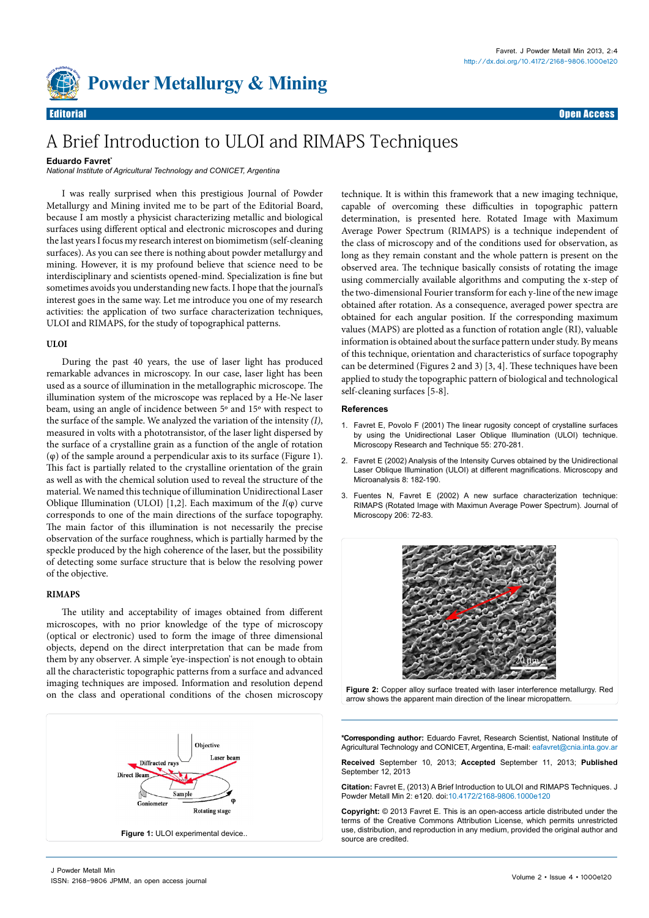

# A Brief Introduction to ULOI and RIMAPS Techniques

# **Eduardo Favret\***

*National Institute of Agricultural Technology and CONICET, Argentina*

I was really surprised when this prestigious Journal of Powder Metallurgy and Mining invited me to be part of the Editorial Board, because I am mostly a physicist characterizing metallic and biological surfaces using different optical and electronic microscopes and during the last years I focus my research interest on biomimetism (self-cleaning surfaces). As you can see there is nothing about powder metallurgy and mining. However, it is my profound believe that science need to be interdisciplinary and scientists opened-mind. Specialization is fine but sometimes avoids you understanding new facts. I hope that the journal's interest goes in the same way. Let me introduce you one of my research activities: the application of two surface characterization techniques, ULOI and RIMAPS, for the study of topographical patterns.

# **ULOI**

During the past 40 years, the use of laser light has produced remarkable advances in microscopy. In our case, laser light has been used as a source of illumination in the metallographic microscope. The illumination system of the microscope was replaced by a He-Ne laser beam, using an angle of incidence between 5º and 15º with respect to the surface of the sample. We analyzed the variation of the intensity *(I)*, measured in volts with a phototransistor, of the laser light dispersed by the surface of a crystalline grain as a function of the angle of rotation (φ) of the sample around a perpendicular axis to its surface (Figure 1). This fact is partially related to the crystalline orientation of the grain as well as with the chemical solution used to reveal the structure of the material. We named this technique of illumination Unidirectional Laser Oblique Illumination (ULOI) [1,2]. Each maximum of the *I*(φ) curve corresponds to one of the main directions of the surface topography. The main factor of this illumination is not necessarily the precise observation of the surface roughness, which is partially harmed by the speckle produced by the high coherence of the laser, but the possibility of detecting some surface structure that is below the resolving power of the objective.

### **RIMAPS**

The utility and acceptability of images obtained from different microscopes, with no prior knowledge of the type of microscopy (optical or electronic) used to form the image of three dimensional objects, depend on the direct interpretation that can be made from them by any observer. A simple 'eye-inspection' is not enough to obtain all the characteristic topographic patterns from a surface and advanced imaging techniques are imposed. Information and resolution depend on the class and operational conditions of the chosen microscopy



technique. It is within this framework that a new imaging technique, capable of overcoming these difficulties in topographic pattern determination, is presented here. Rotated Image with Maximum Average Power Spectrum (RIMAPS) is a technique independent of the class of microscopy and of the conditions used for observation, as long as they remain constant and the whole pattern is present on the observed area. The technique basically consists of rotating the image using commercially available algorithms and computing the x-step of the two-dimensional Fourier transform for each y-line of the new image obtained after rotation. As a consequence, averaged power spectra are obtained for each angular position. If the corresponding maximum values (MAPS) are plotted as a function of rotation angle (RI), valuable information is obtained about the surface pattern under study. By means of this technique, orientation and characteristics of surface topography can be determined (Figures 2 and 3) [3, 4]. These techniques have been applied to study the topographic pattern of biological and technological self-cleaning surfaces [5-8].

#### **References**

- 1. [Favret E, Povolo F \(2001\) The linear rugosity concept of crystalline surfaces](http://www.ncbi.nlm.nih.gov/pubmed/11748865)  [by using the Unidirectional Laser Oblique Illumination \(ULOI\) technique.](http://www.ncbi.nlm.nih.gov/pubmed/11748865)  [Microscopy Research and Technique 55: 270-281.](http://www.ncbi.nlm.nih.gov/pubmed/11748865)
- 2. [Favret E \(2002\) Analysis of the Intensity Curves obtained by the Unidirectional](http://journals.cambridge.org/action/displayAbstract;jsessionid=54D6D140017CE440DC55A3F29BFD6ECF.journals?fromPage=online&aid=115205)  [Laser Oblique Illumination \(ULOI\) at different magnifications. Microscopy and](http://journals.cambridge.org/action/displayAbstract;jsessionid=54D6D140017CE440DC55A3F29BFD6ECF.journals?fromPage=online&aid=115205)  [Microanalysis 8: 182-190.](http://journals.cambridge.org/action/displayAbstract;jsessionid=54D6D140017CE440DC55A3F29BFD6ECF.journals?fromPage=online&aid=115205)
- 3. [Fuentes N, Favret E \(2002\) A new surface characterization technique:](http://www.ncbi.nlm.nih.gov/pubmed/12000565)  [RIMAPS \(Rotated Image with Maximun Average Power Spectrum\). Journal of](http://www.ncbi.nlm.nih.gov/pubmed/12000565)  [Microscopy 206: 72-83.](http://www.ncbi.nlm.nih.gov/pubmed/12000565)



**Figure 2:** Copper alloy surface treated with laser interference metallurgy. Red arrow shows the apparent main direction of the linear micropattern.

**\*Corresponding author:** Eduardo Favret, Research Scientist, National Institute of Agricultural Technology and CONICET, Argentina, E-mail: [eafavret@cnia.inta.gov.ar](mailto:eafavret@cnia.inta.gov.ar)

**Received** September 10, 2013; **Accepted** September 11, 2013; **Published** September 12, 2013

**Citation:** Favret E, (2013) A Brief Introduction to ULOI and RIMAPS Techniques. J Powder Metall Min 2: e120. doi[:10.4172/2168-9806.1000e120](http://dx.doi.org/10.4172/2168-9806.1000e120)

**Copyright:** © 2013 Favret E. This is an open-access article distributed under the terms of the Creative Commons Attribution License, which permits unrestricted use, distribution, and reproduction in any medium, provided the original author and source are credited.